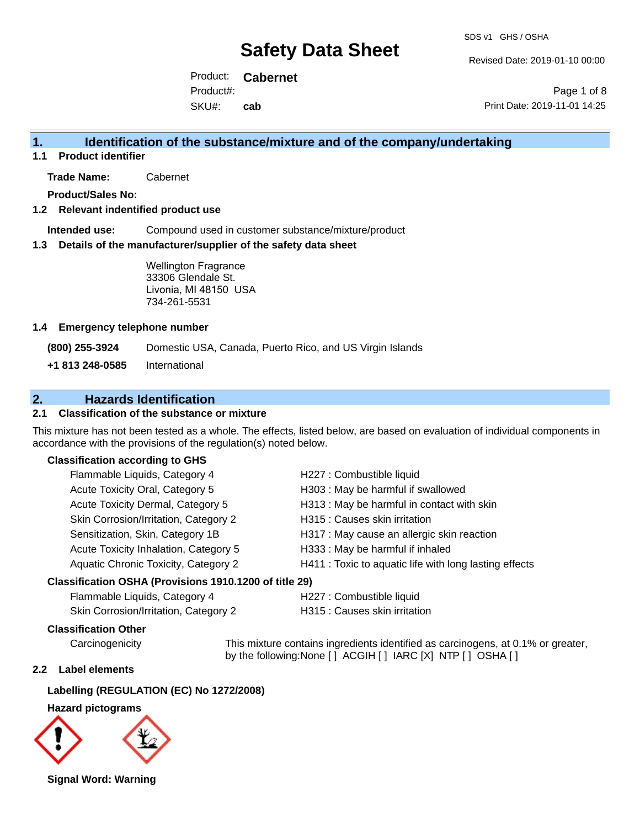Revised Date: 2019-01-10 00:00

Product: **Cabernet** SKU#: Product#: **cab**

Page 1 of 8 Print Date: 2019-11-01 14:25

## **1. Identification of the substance/mixture and of the company/undertaking**

**1.1 Product identifier**

**Trade Name:** Cabernet

**Product/Sales No:**

#### **1.2 Relevant indentified product use**

**Intended use:** Compound used in customer substance/mixture/product

#### **1.3 Details of the manufacturer/supplier of the safety data sheet**

Wellington Fragrance 33306 Glendale St. Livonia, MI 48150 USA 734-261-5531

#### **1.4 Emergency telephone number**

**(800) 255-3924** Domestic USA, Canada, Puerto Rico, and US Virgin Islands

**+1 813 248-0585** International

## **2. Hazards Identification**

### **2.1 Classification of the substance or mixture**

This mixture has not been tested as a whole. The effects, listed below, are based on evaluation of individual components in accordance with the provisions of the regulation(s) noted below.

#### **Classification according to GHS**

| Flammable Liquids, Category 4         | H227 : Combustible liquid                              |
|---------------------------------------|--------------------------------------------------------|
| Acute Toxicity Oral, Category 5       | H303 : May be harmful if swallowed                     |
| Acute Toxicity Dermal, Category 5     | H313 : May be harmful in contact with skin             |
| Skin Corrosion/Irritation, Category 2 | H315 : Causes skin irritation                          |
| Sensitization, Skin, Category 1B      | H317 : May cause an allergic skin reaction             |
| Acute Toxicity Inhalation, Category 5 | H333: May be harmful if inhaled                        |
| Aquatic Chronic Toxicity, Category 2  | H411 : Toxic to aquatic life with long lasting effects |
|                                       |                                                        |

#### **Classification OSHA (Provisions 1910.1200 of title 29)**

| Flammable Liquids, Category 4        |  |
|--------------------------------------|--|
| Skin Corrosion/Irritation Category 2 |  |

H227 : Combustible liquid

Skin Corrosion/Irritation, Category 2 H315 : Causes skin irritation

#### **Classification Other**

Carcinogenicity This mixture contains ingredients identified as carcinogens, at 0.1% or greater, by the following:None [ ] ACGIH [ ] IARC [X] NTP [ ] OSHA [ ]

#### **2.2 Label elements**

### **Labelling (REGULATION (EC) No 1272/2008)**

#### **Hazard pictograms**



**Signal Word: Warning**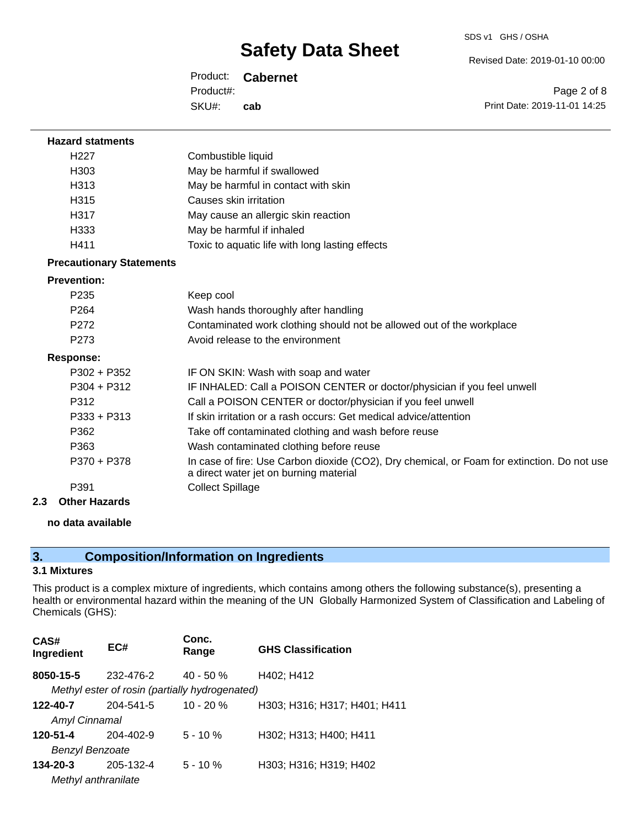Revised Date: 2019-01-10 00:00

Product: **Cabernet** SKU#: Product#: **cab**

Page 2 of 8 Print Date: 2019-11-01 14:25

| <b>Hazard statments</b>         |                                                                                                                                       |
|---------------------------------|---------------------------------------------------------------------------------------------------------------------------------------|
| H <sub>22</sub> 7               | Combustible liquid                                                                                                                    |
| H <sub>303</sub>                | May be harmful if swallowed                                                                                                           |
| H313                            | May be harmful in contact with skin                                                                                                   |
| H <sub>315</sub>                | Causes skin irritation                                                                                                                |
| H317                            | May cause an allergic skin reaction                                                                                                   |
| H333                            | May be harmful if inhaled                                                                                                             |
| H411                            | Toxic to aquatic life with long lasting effects                                                                                       |
| <b>Precautionary Statements</b> |                                                                                                                                       |
| <b>Prevention:</b>              |                                                                                                                                       |
| P <sub>235</sub>                | Keep cool                                                                                                                             |
| P <sub>264</sub>                | Wash hands thoroughly after handling                                                                                                  |
| P <sub>272</sub>                | Contaminated work clothing should not be allowed out of the workplace                                                                 |
| P <sub>273</sub>                | Avoid release to the environment                                                                                                      |
| <b>Response:</b>                |                                                                                                                                       |
| P302 + P352                     | IF ON SKIN: Wash with soap and water                                                                                                  |
| P304 + P312                     | IF INHALED: Call a POISON CENTER or doctor/physician if you feel unwell                                                               |
| P312                            | Call a POISON CENTER or doctor/physician if you feel unwell                                                                           |
| P333 + P313                     | If skin irritation or a rash occurs: Get medical advice/attention                                                                     |
| P362                            | Take off contaminated clothing and wash before reuse                                                                                  |
| P363                            | Wash contaminated clothing before reuse                                                                                               |
| P370 + P378                     | In case of fire: Use Carbon dioxide (CO2), Dry chemical, or Foam for extinction. Do not use<br>a direct water jet on burning material |
| P391                            | <b>Collect Spillage</b>                                                                                                               |
| Other Heresda                   |                                                                                                                                       |

**2.3 Other Hazards**

#### **no data available**

# **3. Composition/Information on Ingredients**

## **3.1 Mixtures**

This product is a complex mixture of ingredients, which contains among others the following substance(s), presenting a health or environmental hazard within the meaning of the UN Globally Harmonized System of Classification and Labeling of Chemicals (GHS):

| CAS#<br>Ingredient   | EC#                                            | Conc.<br>Range | <b>GHS Classification</b>    |
|----------------------|------------------------------------------------|----------------|------------------------------|
| 8050-15-5            | 232-476-2                                      | $40 - 50 \%$   | H402; H412                   |
|                      | Methyl ester of rosin (partially hydrogenated) |                |                              |
| 122-40-7             | 204-541-5                                      | $10 - 20 \%$   | H303; H316; H317; H401; H411 |
| <b>Amyl Cinnamal</b> |                                                |                |                              |
| 120-51-4             | 204-402-9                                      | $5 - 10 \%$    | H302; H313; H400; H411       |
| Benzyl Benzoate      |                                                |                |                              |
| $134 - 20 - 3$       | 205-132-4                                      | $5 - 10%$      | H303; H316; H319; H402       |
|                      | Methyl anthranilate                            |                |                              |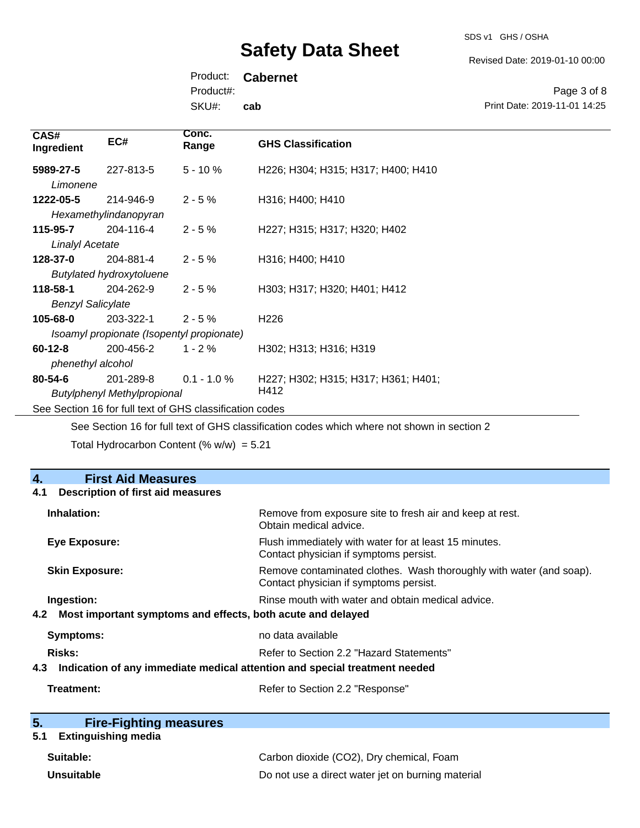SDS v1 GHS / OSHA

Revised Date: 2019-01-10 00:00

Print Date: 2019-11-01 14:25

Page 3 of 8

Product: **Cabernet** Product#:

SKU#: **cab**

| CAS#<br>Ingredient                                       | EC#                                                    | Conc.<br>Range | <b>GHS Classification</b>                   |
|----------------------------------------------------------|--------------------------------------------------------|----------------|---------------------------------------------|
| 5989-27-5<br>Limonene                                    | 227-813-5                                              | $5 - 10 \%$    | H226; H304; H315; H317; H400; H410          |
| 1222-05-5                                                | 214-946-9<br>Hexamethylindanopyran                     | $2 - 5%$       | H316; H400; H410                            |
| 115-95-7<br><b>Linalyl Acetate</b>                       | 204-116-4                                              | $2 - 5%$       | H227; H315; H317; H320; H402                |
| 128-37-0                                                 | 204-881-4<br><b>Butylated hydroxytoluene</b>           | $2 - 5%$       | H316; H400; H410                            |
| 118-58-1<br><b>Benzyl Salicylate</b>                     | 204-262-9                                              | $2 - 5%$       | H303; H317; H320; H401; H412                |
| 105-68-0                                                 | 203-322-1<br>Isoamyl propionate (Isopentyl propionate) | $2 - 5%$       | H <sub>226</sub>                            |
| $60 - 12 - 8$<br>phenethyl alcohol                       | 200-456-2                                              | $1 - 2 \%$     | H302; H313; H316; H319                      |
| $80 - 54 - 6$                                            | 201-289-8<br><b>Butylphenyl Methylpropional</b>        | $0.1 - 1.0 \%$ | H227; H302; H315; H317; H361; H401;<br>H412 |
| See Section 16 for full text of GHS classification codes |                                                        |                |                                             |

See Section 16 for full text of GHS classification codes which where not shown in section 2

Total Hydrocarbon Content (%  $w/w$ ) = 5.21

# **4. First Aid Measures 4.1 Description of first aid measures Inhalation:** Remove from exposure site to fresh air and keep at rest. Obtain medical advice. **Eye Exposure:** Flush immediately with water for at least 15 minutes. Contact physician if symptoms persist. **Skin Exposure:** Remove contaminated clothes. Wash thoroughly with water (and soap). Contact physician if symptoms persist. **Ingestion: Rinse mouth with water and obtain medical advice. Rinse mouth with water and obtain medical advice. 4.2 Most important symptoms and effects, both acute and delayed Symptoms:** no data available **Risks:** Risks: Refer to Section 2.2 "Hazard Statements" **4.3 Indication of any immediate medical attention and special treatment needed Treatment:** Refer to Section 2.2 "Response" **5. Fire-Fighting measures**

### **5.1 Extinguishing media**

| Suitable:         | Carbon dioxide (CO2), Dry chemical, Foam          |
|-------------------|---------------------------------------------------|
| <b>Unsuitable</b> | Do not use a direct water jet on burning material |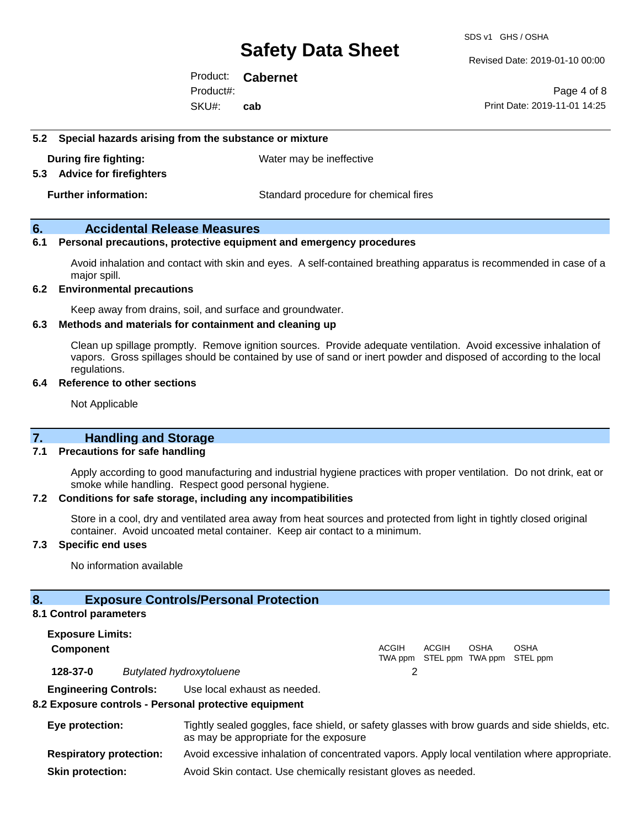SDS v1 GHS / OSHA

Revised Date: 2019-01-10 00:00

Product: **Cabernet** SKU#: Product#: **cab**

Page 4 of 8 Print Date: 2019-11-01 14:25

#### **5.2 Special hazards arising from the substance or mixture**

**During fire fighting:** Water may be ineffective

**5.3 Advice for firefighters**

**Further information:** Standard procedure for chemical fires

### **6. Accidental Release Measures**

### **6.1 Personal precautions, protective equipment and emergency procedures**

Avoid inhalation and contact with skin and eyes. A self-contained breathing apparatus is recommended in case of a major spill.

#### **6.2 Environmental precautions**

Keep away from drains, soil, and surface and groundwater.

#### **6.3 Methods and materials for containment and cleaning up**

Clean up spillage promptly. Remove ignition sources. Provide adequate ventilation. Avoid excessive inhalation of vapors. Gross spillages should be contained by use of sand or inert powder and disposed of according to the local regulations.

#### **6.4 Reference to other sections**

Not Applicable

## **7. Handling and Storage**

#### **7.1 Precautions for safe handling**

Apply according to good manufacturing and industrial hygiene practices with proper ventilation. Do not drink, eat or smoke while handling. Respect good personal hygiene.

#### **7.2 Conditions for safe storage, including any incompatibilities**

Store in a cool, dry and ventilated area away from heat sources and protected from light in tightly closed original container. Avoid uncoated metal container. Keep air contact to a minimum.

#### **7.3 Specific end uses**

No information available

### **8. Exposure Controls/Personal Protection**

#### **8.1 Control parameters**

**Exposure Limits: Component** ACGIH TWA ppm STEL ppm TWA ppm STEL ppm ACGIH **OSHA** OSHA **128-37-0** *Butylated hydroxytoluene* 2 **Engineering Controls:** Use local exhaust as needed.

#### **8.2 Exposure controls - Personal protective equipment**

| Eye protection:                | Tightly sealed goggles, face shield, or safety glasses with brow guards and side shields, etc.<br>as may be appropriate for the exposure |
|--------------------------------|------------------------------------------------------------------------------------------------------------------------------------------|
| <b>Respiratory protection:</b> | Avoid excessive inhalation of concentrated vapors. Apply local ventilation where appropriate.                                            |
| <b>Skin protection:</b>        | Avoid Skin contact. Use chemically resistant gloves as needed.                                                                           |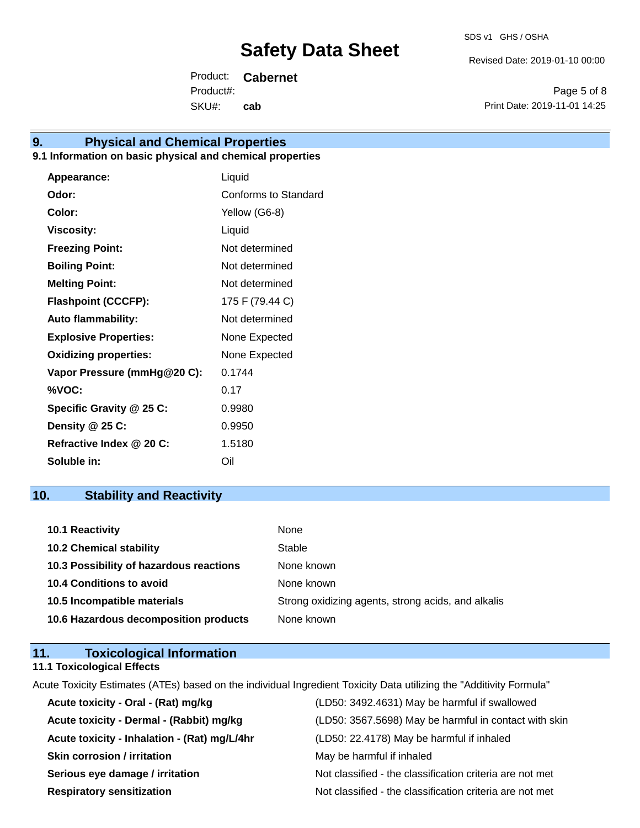Revised Date: 2019-01-10 00:00

Product: **Cabernet** SKU#: Product#: **cab**

Page 5 of 8 Print Date: 2019-11-01 14:25

# **9. Physical and Chemical Properties**

## **9.1 Information on basic physical and chemical properties**

| Appearance:                  | Liquid               |
|------------------------------|----------------------|
| Odor:                        | Conforms to Standard |
| Color:                       | Yellow (G6-8)        |
| <b>Viscosity:</b>            | Liquid               |
| <b>Freezing Point:</b>       | Not determined       |
| <b>Boiling Point:</b>        | Not determined       |
| <b>Melting Point:</b>        | Not determined       |
| <b>Flashpoint (CCCFP):</b>   | 175 F (79.44 C)      |
| <b>Auto flammability:</b>    | Not determined       |
| <b>Explosive Properties:</b> | None Expected        |
| <b>Oxidizing properties:</b> | None Expected        |
| Vapor Pressure (mmHg@20 C):  | 0.1744               |
| %VOC:                        | 0.17                 |
| Specific Gravity @ 25 C:     | 0.9980               |
| Density @ 25 C:              | 0.9950               |
| Refractive Index @ 20 C:     | 1.5180               |
| Soluble in:                  | Oil                  |

# **10. Stability and Reactivity**

| <b>10.1 Reactivity</b>                  | None                                               |
|-----------------------------------------|----------------------------------------------------|
| <b>10.2 Chemical stability</b>          | Stable                                             |
| 10.3 Possibility of hazardous reactions | None known                                         |
| <b>10.4 Conditions to avoid</b>         | None known                                         |
| 10.5 Incompatible materials             | Strong oxidizing agents, strong acids, and alkalis |
| 10.6 Hazardous decomposition products   | None known                                         |

# **11. Toxicological Information**

## **11.1 Toxicological Effects**

Acute Toxicity Estimates (ATEs) based on the individual Ingredient Toxicity Data utilizing the "Additivity Formula"

| Acute toxicity - Oral - (Rat) mg/kg          | (LD50: 3492.4631) May be harmful if swallowed            |
|----------------------------------------------|----------------------------------------------------------|
| Acute toxicity - Dermal - (Rabbit) mg/kg     | (LD50: 3567.5698) May be harmful in contact with skin    |
| Acute toxicity - Inhalation - (Rat) mg/L/4hr | (LD50: 22.4178) May be harmful if inhaled                |
| <b>Skin corrosion / irritation</b>           | May be harmful if inhaled                                |
| Serious eye damage / irritation              | Not classified - the classification criteria are not met |
| <b>Respiratory sensitization</b>             | Not classified - the classification criteria are not met |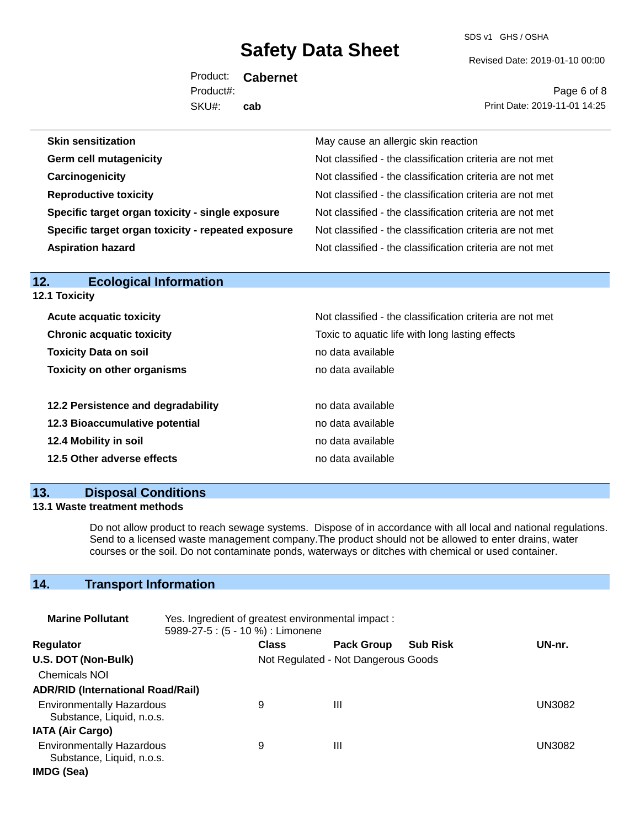SDS v1 GHS / OSHA

Revised Date: 2019-01-10 00:00

Product: **Cabernet** SKU#: Product#: **cab**

Page 6 of 8 Print Date: 2019-11-01 14:25

| May cause an allergic skin reaction                      |
|----------------------------------------------------------|
| Not classified - the classification criteria are not met |
| Not classified - the classification criteria are not met |
| Not classified - the classification criteria are not met |
| Not classified - the classification criteria are not met |
| Not classified - the classification criteria are not met |
| Not classified - the classification criteria are not met |
|                                                          |

| ______________________________<br><b>12.1 Toxicity</b> |                                                          |  |
|--------------------------------------------------------|----------------------------------------------------------|--|
| <b>Acute acquatic toxicity</b>                         | Not classified - the classification criteria are not met |  |
| <b>Chronic acquatic toxicity</b>                       | Toxic to aquatic life with long lasting effects          |  |
| <b>Toxicity Data on soil</b>                           | no data available                                        |  |
| <b>Toxicity on other organisms</b>                     | no data available                                        |  |
| 12.2 Persistence and degradability                     | no data available                                        |  |
| 12.3 Bioaccumulative potential                         | no data available                                        |  |
| 12.4 Mobility in soil                                  | no data available                                        |  |
| 12.5 Other adverse effects                             | no data available                                        |  |

## **13. Disposal Conditions**

**12. Ecological Information** 

#### **13.1 Waste treatment methods**

Do not allow product to reach sewage systems. Dispose of in accordance with all local and national regulations. Send to a licensed waste management company.The product should not be allowed to enter drains, water courses or the soil. Do not contaminate ponds, waterways or ditches with chemical or used container.

# **14. Transport Information**

| <b>Marine Pollutant</b>                                       | Yes. Ingredient of greatest environmental impact:<br>5989-27-5 : (5 - 10 %) : Limonene |              |                                     |                 |               |
|---------------------------------------------------------------|----------------------------------------------------------------------------------------|--------------|-------------------------------------|-----------------|---------------|
| <b>Regulator</b>                                              |                                                                                        | <b>Class</b> | <b>Pack Group</b>                   | <b>Sub Risk</b> | UN-nr.        |
| U.S. DOT (Non-Bulk)                                           |                                                                                        |              | Not Regulated - Not Dangerous Goods |                 |               |
| <b>Chemicals NOI</b>                                          |                                                                                        |              |                                     |                 |               |
| <b>ADR/RID (International Road/Rail)</b>                      |                                                                                        |              |                                     |                 |               |
| <b>Environmentally Hazardous</b><br>Substance, Liquid, n.o.s. |                                                                                        | 9            | Ш                                   |                 | <b>UN3082</b> |
| <b>IATA (Air Cargo)</b>                                       |                                                                                        |              |                                     |                 |               |
| <b>Environmentally Hazardous</b><br>Substance, Liquid, n.o.s. |                                                                                        | 9            | Ш                                   |                 | UN3082        |
| IMDG (Sea)                                                    |                                                                                        |              |                                     |                 |               |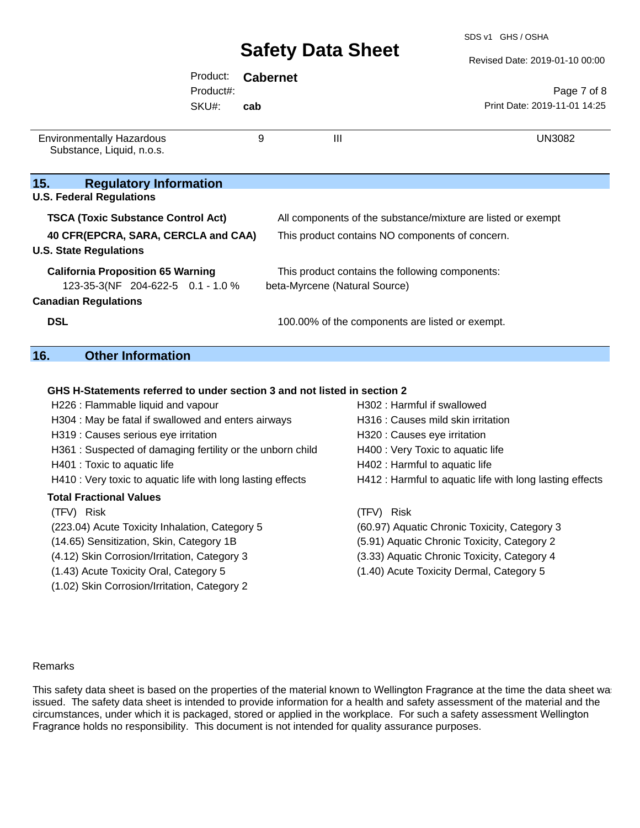SDS v1 GHS / OSHA

Revised Date: 2019-01-10 00:00

|                                                               | Product:  | <b>Cabernet</b>               |                                                              |                              |  |
|---------------------------------------------------------------|-----------|-------------------------------|--------------------------------------------------------------|------------------------------|--|
|                                                               | Product#: |                               |                                                              | Page 7 of 8                  |  |
|                                                               | SKU#:     | cab                           |                                                              | Print Date: 2019-11-01 14:25 |  |
|                                                               |           |                               |                                                              |                              |  |
| <b>Environmentally Hazardous</b><br>Substance, Liquid, n.o.s. |           | 9                             | $\mathbf{III}$                                               | <b>UN3082</b>                |  |
| 15.<br><b>Regulatory Information</b>                          |           |                               |                                                              |                              |  |
| <b>U.S. Federal Regulations</b>                               |           |                               |                                                              |                              |  |
| <b>TSCA (Toxic Substance Control Act)</b>                     |           |                               | All components of the substance/mixture are listed or exempt |                              |  |
| 40 CFR(EPCRA, SARA, CERCLA and CAA)                           |           |                               | This product contains NO components of concern.              |                              |  |
| <b>U.S. State Regulations</b>                                 |           |                               |                                                              |                              |  |
| <b>California Proposition 65 Warning</b>                      |           |                               | This product contains the following components:              |                              |  |
| 123-35-3(NF 204-622-5 0.1 - 1.0 %                             |           | beta-Myrcene (Natural Source) |                                                              |                              |  |
| <b>Canadian Regulations</b>                                   |           |                               |                                                              |                              |  |
| <b>DSL</b>                                                    |           |                               | 100.00% of the components are listed or exempt.              |                              |  |
| 16.<br><b>Other Information</b>                               |           |                               |                                                              |                              |  |
|                                                               |           |                               |                                                              |                              |  |

### **GHS H-Statements referred to under section 3 and not listed in section 2**

| H226 : Flammable liquid and vapour                          | H302 : Harmful if swallowed                              |  |  |
|-------------------------------------------------------------|----------------------------------------------------------|--|--|
| H304 : May be fatal if swallowed and enters airways         | H316 : Causes mild skin irritation                       |  |  |
| H319 : Causes serious eye irritation                        | H320 : Causes eye irritation                             |  |  |
| H361: Suspected of damaging fertility or the unborn child   | H400 : Very Toxic to aquatic life                        |  |  |
| H401 : Toxic to aquatic life                                | H402 : Harmful to aquatic life                           |  |  |
| H410 : Very toxic to aquatic life with long lasting effects | H412 : Harmful to aquatic life with long lasting effects |  |  |
| <b>Total Fractional Values</b>                              |                                                          |  |  |
| (TFV) Risk                                                  | (TFV) Risk                                               |  |  |
| (223.04) Acute Toxicity Inhalation, Category 5              | (60.97) Aquatic Chronic Toxicity, Category 3             |  |  |
| (14.65) Sensitization, Skin, Category 1B                    | (5.91) Aquatic Chronic Toxicity, Category 2              |  |  |
| (4.12) Skin Corrosion/Irritation, Category 3                | (3.33) Aquatic Chronic Toxicity, Category 4              |  |  |
| (1.43) Acute Toxicity Oral, Category 5                      | (1.40) Acute Toxicity Dermal, Category 5                 |  |  |
| (1.02) Skin Corrosion/Irritation, Category 2                |                                                          |  |  |
|                                                             |                                                          |  |  |

#### Remarks

**15.** 

 $\overline{16.}$ 

This safety data sheet is based on the properties of the material known to Wellington Fragrance at the time the data sheet was issued. The safety data sheet is intended to provide information for a health and safety assessment of the material and the circumstances, under which it is packaged, stored or applied in the workplace. For such a safety assessment Wellington Fragrance holds no responsibility. This document is not intended for quality assurance purposes.